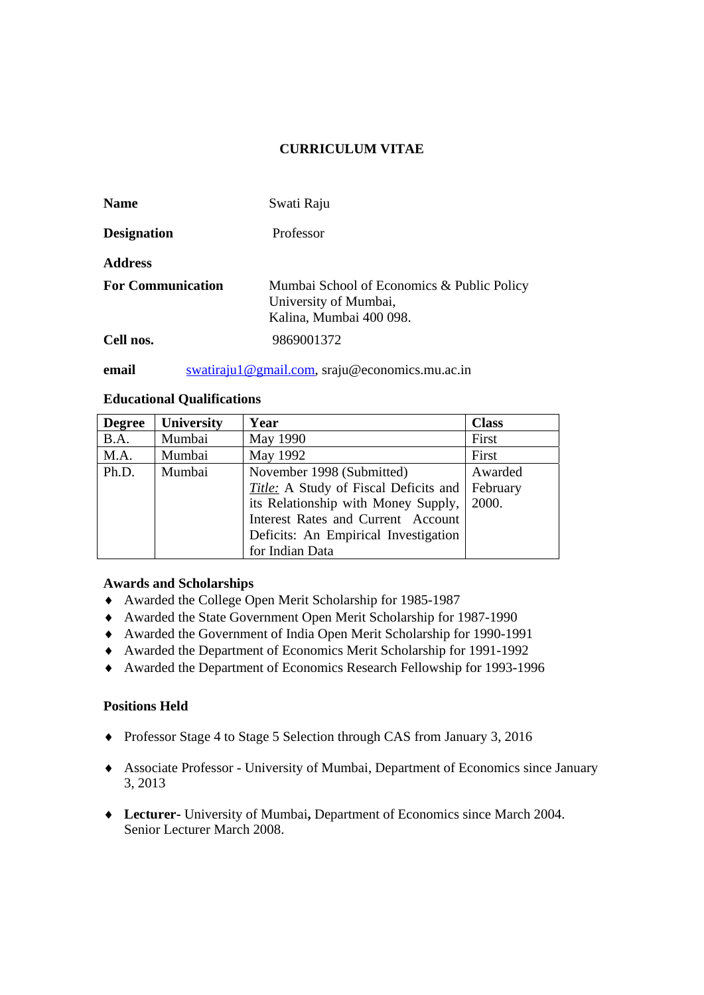# **CURRICULUM VITAE**

| <b>Name</b>              | Swati Raju                                                                                     |
|--------------------------|------------------------------------------------------------------------------------------------|
| <b>Designation</b>       | Professor                                                                                      |
| <b>Address</b>           |                                                                                                |
| <b>For Communication</b> | Mumbai School of Economics & Public Policy<br>University of Mumbai,<br>Kalina, Mumbai 400 098. |
| Cell nos.                | 9869001372                                                                                     |

**email** swatiraju1@gmail.com, sraju@economics.mu.ac.in

# **Educational Qualifications**

| <b>Degree</b> | University | Year                                  | <b>Class</b> |
|---------------|------------|---------------------------------------|--------------|
| B.A.          | Mumbai     | May 1990                              | First        |
| M.A.          | Mumbai     | May 1992                              | First        |
| Ph.D.         | Mumbai     | November 1998 (Submitted)             | Awarded      |
|               |            | Title: A Study of Fiscal Deficits and | February     |
|               |            | its Relationship with Money Supply,   | 2000.        |
|               |            | Interest Rates and Current Account    |              |
|               |            | Deficits: An Empirical Investigation  |              |
|               |            | for Indian Data                       |              |

# **Awards and Scholarships**

- ♦ Awarded the College Open Merit Scholarship for 1985-1987
- ♦ Awarded the State Government Open Merit Scholarship for 1987-1990
- ♦ Awarded the Government of India Open Merit Scholarship for 1990-1991
- ♦ Awarded the Department of Economics Merit Scholarship for 1991-1992
- ♦ Awarded the Department of Economics Research Fellowship for 1993-1996

# **Positions Held**

- ♦ Professor Stage 4 to Stage 5 Selection through CAS from January 3, 2016
- ♦ Associate Professor University of Mumbai, Department of Economics since January 3, 2013
- ♦ **Lecturer-** University of Mumbai**,** Department of Economics since March 2004. Senior Lecturer March 2008.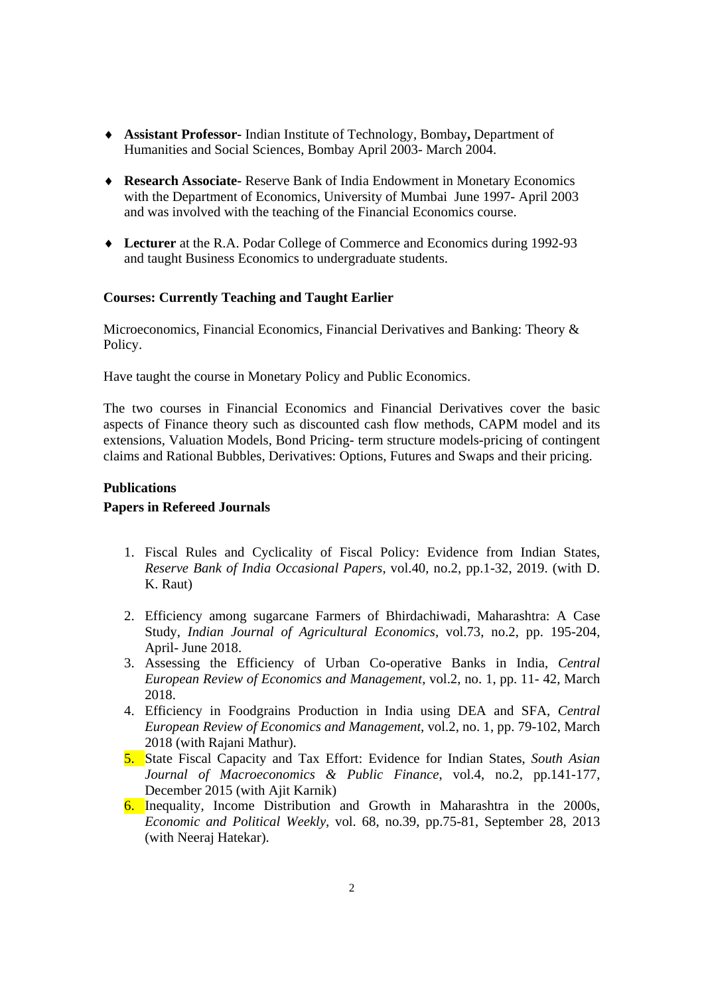- ♦ **Assistant Professor-** Indian Institute of Technology, Bombay**,** Department of Humanities and Social Sciences, Bombay April 2003- March 2004.
- ♦ **Research Associate-** Reserve Bank of India Endowment in Monetary Economics with the Department of Economics, University of Mumbai June 1997- April 2003 and was involved with the teaching of the Financial Economics course.
- ♦ **Lecturer** at the R.A. Podar College of Commerce and Economics during 1992-93 and taught Business Economics to undergraduate students.

#### **Courses: Currently Teaching and Taught Earlier**

Microeconomics, Financial Economics, Financial Derivatives and Banking: Theory & Policy.

Have taught the course in Monetary Policy and Public Economics.

The two courses in Financial Economics and Financial Derivatives cover the basic aspects of Finance theory such as discounted cash flow methods, CAPM model and its extensions, Valuation Models, Bond Pricing- term structure models-pricing of contingent claims and Rational Bubbles, Derivatives: Options, Futures and Swaps and their pricing.

#### **Publications**

### **Papers in Refereed Journals**

- 1. Fiscal Rules and Cyclicality of Fiscal Policy: Evidence from Indian States, *Reserve Bank of India Occasional Papers*, vol.40, no.2, pp.1-32, 2019. (with D. K. Raut)
- 2. Efficiency among sugarcane Farmers of Bhirdachiwadi, Maharashtra: A Case Study, *Indian Journal of Agricultural Economics,* vol.73, no.2, pp. 195-204, April- June 2018.
- 3. Assessing the Efficiency of Urban Co-operative Banks in India, *Central European Review of Economics and Management*, vol.2, no. 1, pp. 11- 42, March 2018.
- 4. Efficiency in Foodgrains Production in India using DEA and SFA, *Central European Review of Economics and Management*, vol.2, no. 1, pp. 79-102, March 2018 (with Rajani Mathur).
- 5. State Fiscal Capacity and Tax Effort: Evidence for Indian States, *South Asian Journal of Macroeconomics & Public Finance*, vol.4, no.2, pp.141-177, December 2015 (with Ajit Karnik)
- 6. Inequality, Income Distribution and Growth in Maharashtra in the 2000s, *Economic and Political Weekly,* vol. 68, no.39, pp.75-81, September 28, 2013 (with Neeraj Hatekar).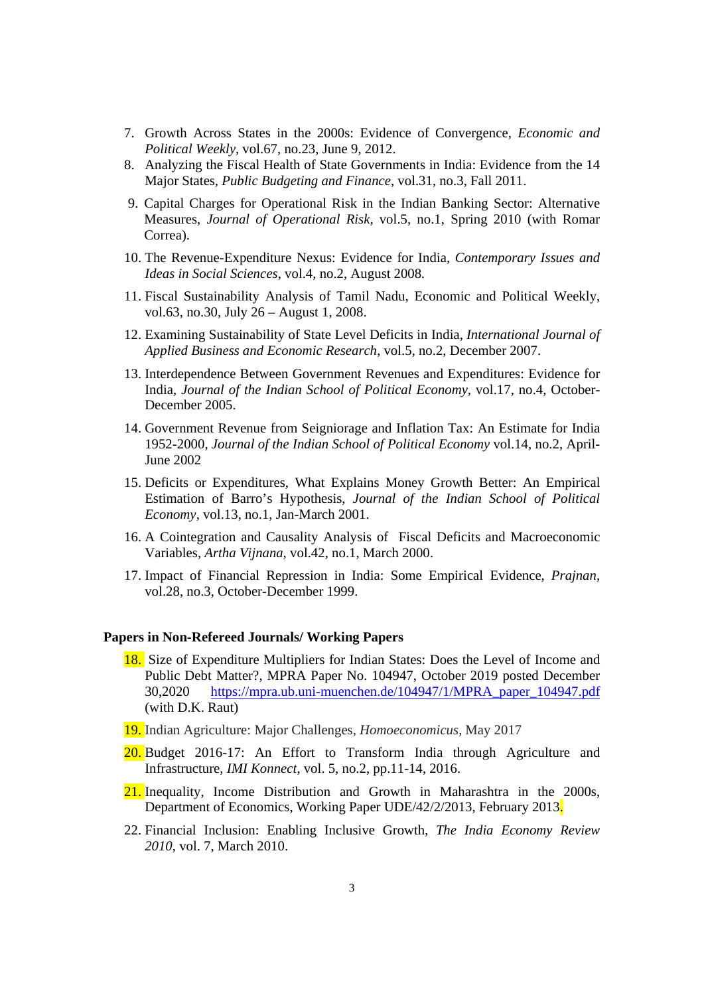- 7. Growth Across States in the 2000s: Evidence of Convergence, *Economic and Political Weekly*, vol.67, no.23, June 9, 2012.
- 8. Analyzing the Fiscal Health of State Governments in India: Evidence from the 14 Major States*, Public Budgeting and Finance,* vol.31, no.3, Fall 2011.
- 9. Capital Charges for Operational Risk in the Indian Banking Sector: Alternative Measures, *Journal of Operational Risk,* vol.5, no.1, Spring 2010 (with Romar Correa).
- 10. The Revenue-Expenditure Nexus: Evidence for India*, Contemporary Issues and Ideas in Social Sciences*, vol.4, no.2, August 2008*.*
- 11. Fiscal Sustainability Analysis of Tamil Nadu, Economic and Political Weekly, vol.63, no.30, July 26 – August 1, 2008.
- 12. Examining Sustainability of State Level Deficits in India, *International Journal of Applied Business and Economic Research*, vol.5, no.2, December 2007.
- 13. Interdependence Between Government Revenues and Expenditures: Evidence for India, *Journal of the Indian School of Political Economy,* vol.17, no.4, October-December 2005.
- 14. Government Revenue from Seigniorage and Inflation Tax: An Estimate for India 1952-2000, *Journal of the Indian School of Political Economy* vol.14, no.2, April-June 2002
- 15. Deficits or Expenditures, What Explains Money Growth Better: An Empirical Estimation of Barro's Hypothesis, *Journal of the Indian School of Political Economy*, vol.13, no.1, Jan-March 2001.
- 16. A Cointegration and Causality Analysis of Fiscal Deficits and Macroeconomic Variables, *Artha Vijnana,* vol.42, no.1, March 2000.
- 17. Impact of Financial Repression in India: Some Empirical Evidence, *Prajnan*, vol.28, no.3, October-December 1999.

#### **Papers in Non-Refereed Journals/ Working Papers**

- 18. Size of Expenditure Multipliers for Indian States: Does the Level of Income and Public Debt Matter?, MPRA Paper No. 104947, October 2019 posted December 30,2020 https://mpra.ub.uni-muenchen.de/104947/1/MPRA\_paper\_104947.pdf (with D.K. Raut)
- 19. Indian Agriculture: Major Challenges, *Homoeconomicus,* May 2017
- 20. Budget 2016-17: An Effort to Transform India through Agriculture and Infrastructure, *IMI Konnect*, vol. 5, no.2, pp.11-14, 2016.
- 21. Inequality, Income Distribution and Growth in Maharashtra in the 2000s, Department of Economics, Working Paper UDE/42/2/2013, February 2013.
- 22. Financial Inclusion: Enabling Inclusive Growth, *The India Economy Review 2010*, vol. 7, March 2010.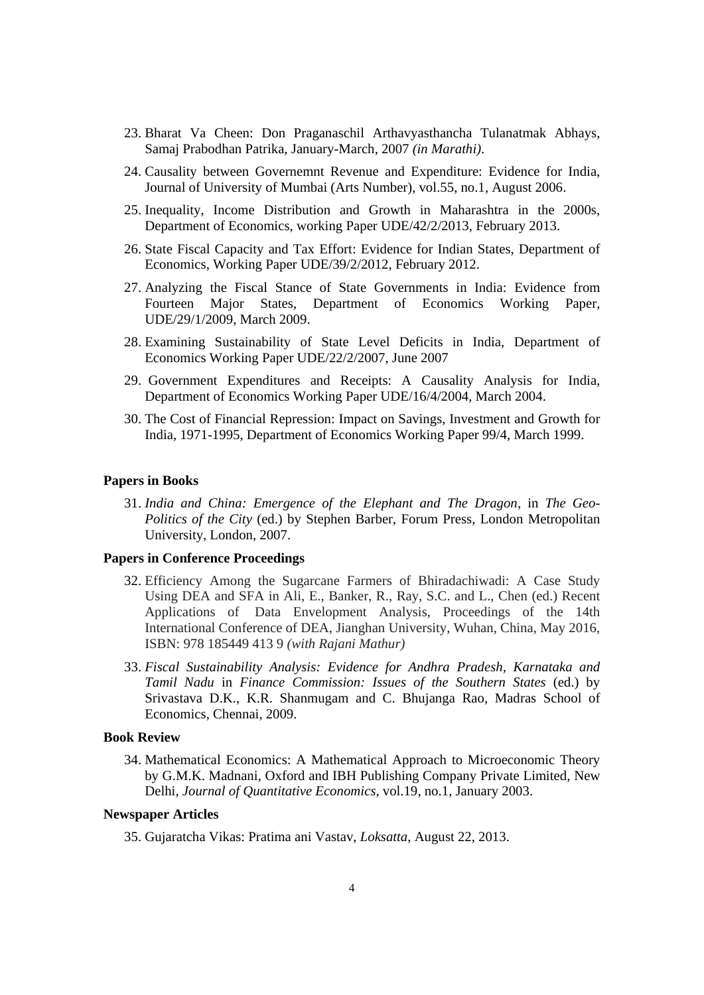- 23. Bharat Va Cheen: Don Praganaschil Arthavyasthancha Tulanatmak Abhays, Samaj Prabodhan Patrika, January-March, 2007 *(in Marathi)*.
- 24. Causality between Governemnt Revenue and Expenditure: Evidence for India, Journal of University of Mumbai (Arts Number), vol.55, no.1, August 2006.
- 25. Inequality, Income Distribution and Growth in Maharashtra in the 2000s, Department of Economics, working Paper UDE/42/2/2013, February 2013.
- 26. State Fiscal Capacity and Tax Effort: Evidence for Indian States, Department of Economics, Working Paper UDE/39/2/2012, February 2012.
- 27. Analyzing the Fiscal Stance of State Governments in India: Evidence from Fourteen Major States, Department of Economics Working Paper, UDE/29/1/2009, March 2009.
- 28. Examining Sustainability of State Level Deficits in India, Department of Economics Working Paper UDE/22/2/2007, June 2007
- 29. Government Expenditures and Receipts: A Causality Analysis for India, Department of Economics Working Paper UDE/16/4/2004, March 2004.
- 30. The Cost of Financial Repression: Impact on Savings, Investment and Growth for India, 1971-1995, Department of Economics Working Paper 99/4, March 1999.

#### **Papers in Books**

31. *India and China: Emergence of the Elephant and The Dragon,* in *The Geo-Politics of the City* (ed.) by Stephen Barber, Forum Press, London Metropolitan University, London, 2007.

#### **Papers in Conference Proceedings**

- 32. Efficiency Among the Sugarcane Farmers of Bhiradachiwadi: A Case Study Using DEA and SFA in Ali, E., Banker, R., Ray, S.C. and L., Chen (ed.) Recent Applications of Data Envelopment Analysis, Proceedings of the 14th International Conference of DEA, Jianghan University, Wuhan, China, May 2016, ISBN: 978 185449 413 9 *(with Rajani Mathur)*
- 33. *Fiscal Sustainability Analysis: Evidence for Andhra Pradesh, Karnataka and Tamil Nadu* in *Finance Commission: Issues of the Southern States* (ed.) by Srivastava D.K., K.R. Shanmugam and C. Bhujanga Rao, Madras School of Economics, Chennai, 2009.

## **Book Review**

34. Mathematical Economics: A Mathematical Approach to Microeconomic Theory by G.M.K. Madnani, Oxford and IBH Publishing Company Private Limited, New Delhi, *Journal of Quantitative Economics*, vol.19, no.1, January 2003.

#### **Newspaper Articles**

35. Gujaratcha Vikas: Pratima ani Vastav, *Loksatta*, August 22, 2013.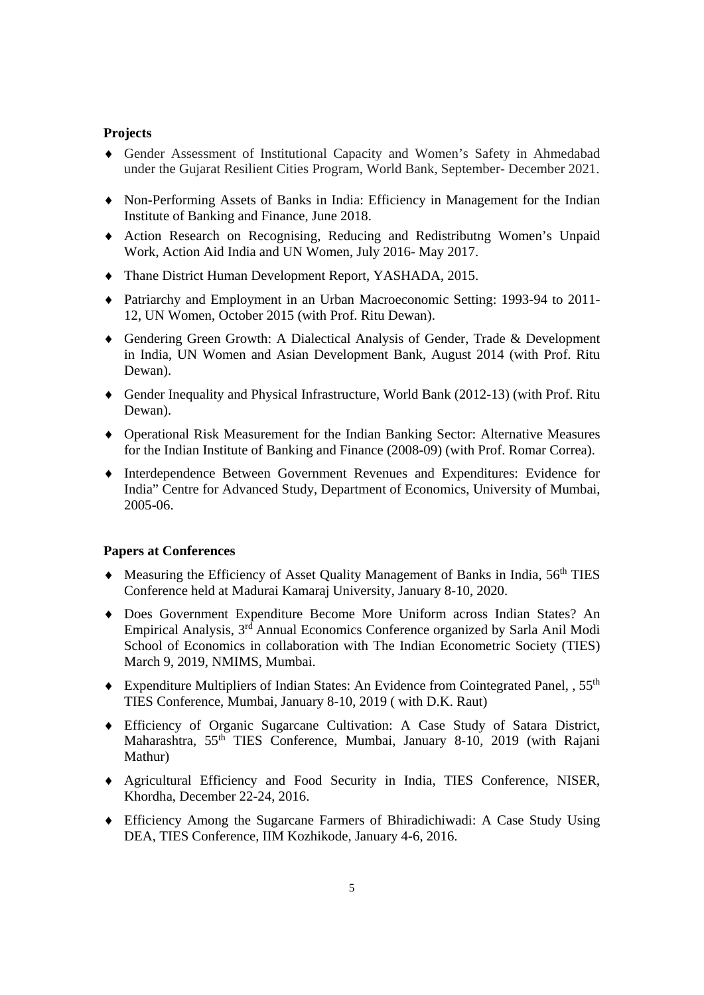## **Projects**

- ♦ Gender Assessment of Institutional Capacity and Women's Safety in Ahmedabad under the Gujarat Resilient Cities Program, World Bank, September- December 2021.
- ♦ Non-Performing Assets of Banks in India: Efficiency in Management for the Indian Institute of Banking and Finance, June 2018.
- ♦ Action Research on Recognising, Reducing and Redistributng Women's Unpaid Work, Action Aid India and UN Women, July 2016- May 2017.
- ♦ Thane District Human Development Report, YASHADA, 2015.
- ♦ Patriarchy and Employment in an Urban Macroeconomic Setting: 1993-94 to 2011- 12, UN Women, October 2015 (with Prof. Ritu Dewan).
- ♦ Gendering Green Growth: A Dialectical Analysis of Gender, Trade & Development in India, UN Women and Asian Development Bank, August 2014 (with Prof. Ritu Dewan).
- ♦ Gender Inequality and Physical Infrastructure, World Bank (2012-13) (with Prof. Ritu Dewan).
- ♦ Operational Risk Measurement for the Indian Banking Sector: Alternative Measures for the Indian Institute of Banking and Finance (2008-09) (with Prof. Romar Correa).
- ♦ Interdependence Between Government Revenues and Expenditures: Evidence for India" Centre for Advanced Study, Department of Economics, University of Mumbai, 2005-06.

## **Papers at Conferences**

- ♦ Measuring the Efficiency of Asset Quality Management of Banks in India, 56th TIES Conference held at Madurai Kamaraj University, January 8-10, 2020.
- ♦ Does Government Expenditure Become More Uniform across Indian States? An Empirical Analysis, 3rd Annual Economics Conference organized by Sarla Anil Modi School of Economics in collaboration with The Indian Econometric Society (TIES) March 9, 2019, NMIMS, Mumbai.
- ♦ Expenditure Multipliers of Indian States: An Evidence from Cointegrated Panel, , 55th TIES Conference, Mumbai, January 8-10, 2019 ( with D.K. Raut)
- ♦ Efficiency of Organic Sugarcane Cultivation: A Case Study of Satara District, Maharashtra, 55<sup>th</sup> TIES Conference, Mumbai, January 8-10, 2019 (with Rajani Mathur)
- ♦ Agricultural Efficiency and Food Security in India, TIES Conference, NISER, Khordha, December 22-24, 2016.
- ♦ Efficiency Among the Sugarcane Farmers of Bhiradichiwadi: A Case Study Using DEA, TIES Conference, IIM Kozhikode, January 4-6, 2016.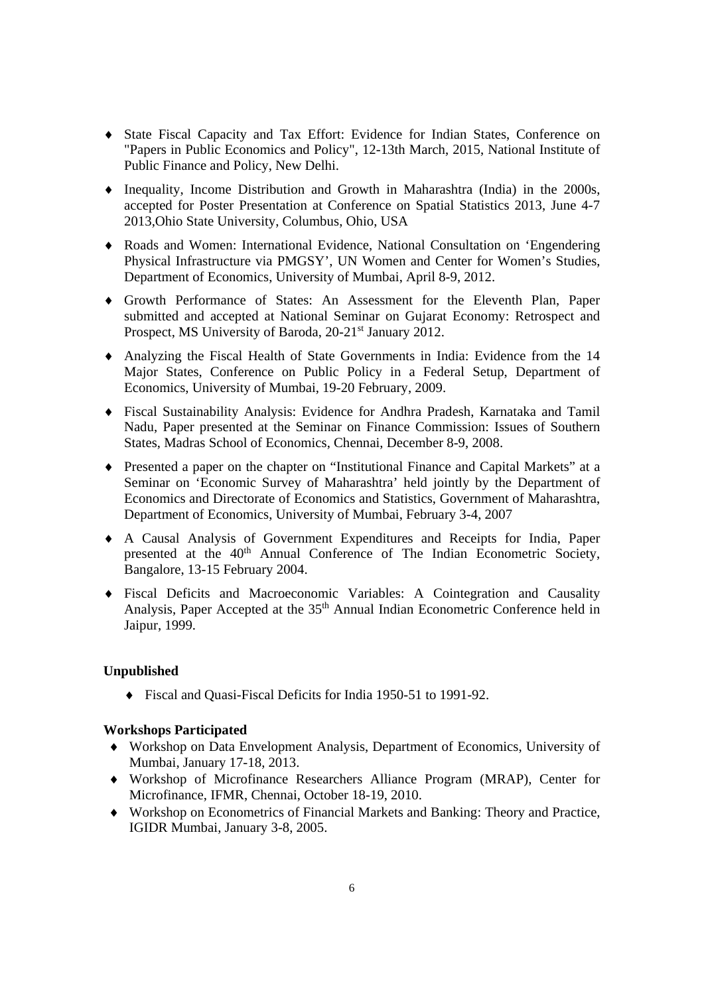- ♦ State Fiscal Capacity and Tax Effort: Evidence for Indian States, Conference on "Papers in Public Economics and Policy", 12-13th March, 2015, National Institute of Public Finance and Policy, New Delhi.
- ♦ Inequality, Income Distribution and Growth in Maharashtra (India) in the 2000s, accepted for Poster Presentation at Conference on Spatial Statistics 2013, June 4-7 2013,Ohio State University, Columbus, Ohio, USA
- ♦ Roads and Women: International Evidence, National Consultation on 'Engendering Physical Infrastructure via PMGSY', UN Women and Center for Women's Studies, Department of Economics, University of Mumbai, April 8-9, 2012.
- ♦ Growth Performance of States: An Assessment for the Eleventh Plan, Paper submitted and accepted at National Seminar on Gujarat Economy: Retrospect and Prospect, MS University of Baroda, 20-21<sup>st</sup> January 2012.
- ♦ Analyzing the Fiscal Health of State Governments in India: Evidence from the 14 Major States, Conference on Public Policy in a Federal Setup, Department of Economics, University of Mumbai, 19-20 February, 2009.
- ♦ Fiscal Sustainability Analysis: Evidence for Andhra Pradesh, Karnataka and Tamil Nadu, Paper presented at the Seminar on Finance Commission: Issues of Southern States, Madras School of Economics, Chennai, December 8-9, 2008.
- ♦ Presented a paper on the chapter on "Institutional Finance and Capital Markets" at a Seminar on 'Economic Survey of Maharashtra' held jointly by the Department of Economics and Directorate of Economics and Statistics, Government of Maharashtra, Department of Economics, University of Mumbai, February 3-4, 2007
- ♦ A Causal Analysis of Government Expenditures and Receipts for India, Paper presented at the 40<sup>th</sup> Annual Conference of The Indian Econometric Society, Bangalore, 13-15 February 2004.
- ♦ Fiscal Deficits and Macroeconomic Variables: A Cointegration and Causality Analysis, Paper Accepted at the 35<sup>th</sup> Annual Indian Econometric Conference held in Jaipur, 1999.

## **Unpublished**

♦ Fiscal and Quasi-Fiscal Deficits for India 1950-51 to 1991-92.

## **Workshops Participated**

- ♦ Workshop on Data Envelopment Analysis, Department of Economics, University of Mumbai, January 17-18, 2013.
- ♦ Workshop of Microfinance Researchers Alliance Program (MRAP), Center for Microfinance, IFMR, Chennai, October 18-19, 2010.
- ♦ Workshop on Econometrics of Financial Markets and Banking: Theory and Practice, IGIDR Mumbai, January 3-8, 2005.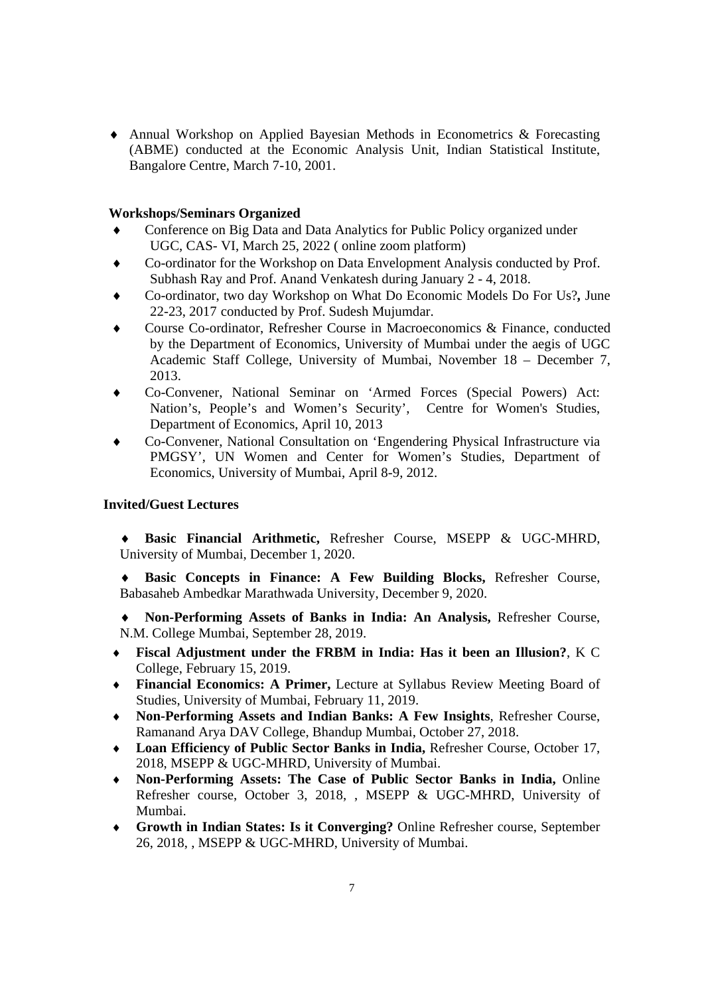♦ Annual Workshop on Applied Bayesian Methods in Econometrics & Forecasting (ABME) conducted at the Economic Analysis Unit, Indian Statistical Institute, Bangalore Centre, March 7-10, 2001.

## **Workshops/Seminars Organized**

- Conference on Big Data and Data Analytics for Public Policy organized under UGC, CAS- VI, March 25, 2022 ( online zoom platform)
- Co-ordinator for the Workshop on Data Envelopment Analysis conducted by Prof. Subhash Ray and Prof. Anand Venkatesh during January 2 - 4, 2018.
- ♦ Co-ordinator, two day Workshop on What Do Economic Models Do For Us?*,* June 22-23, 2017 conducted by Prof. Sudesh Mujumdar.
- Course Co-ordinator, Refresher Course in Macroeconomics & Finance, conducted by the Department of Economics, University of Mumbai under the aegis of UGC Academic Staff College, University of Mumbai, November 18 – December 7, 2013.
- Co-Convener, National Seminar on 'Armed Forces (Special Powers) Act: Nation's, People's and Women's Security', Centre for Women's Studies, Department of Economics, April 10, 2013
- ♦ Co-Convener, National Consultation on 'Engendering Physical Infrastructure via PMGSY', UN Women and Center for Women's Studies, Department of Economics, University of Mumbai, April 8-9, 2012.

# **Invited/Guest Lectures**

- ♦ **Basic Financial Arithmetic,** Refresher Course, MSEPP & UGC-MHRD, University of Mumbai, December 1, 2020.
- ♦ **Basic Concepts in Finance: A Few Building Blocks,** Refresher Course, Babasaheb Ambedkar Marathwada University, December 9, 2020.
- ♦ **Non-Performing Assets of Banks in India: An Analysis,** Refresher Course, N.M. College Mumbai, September 28, 2019.
- ♦ **Fiscal Adjustment under the FRBM in India: Has it been an Illusion?**, K C College, February 15, 2019.
- ♦ **Financial Economics: A Primer,** Lecture at Syllabus Review Meeting Board of Studies, University of Mumbai, February 11, 2019.
- ♦ **Non-Performing Assets and Indian Banks: A Few Insights**, Refresher Course, Ramanand Arya DAV College, Bhandup Mumbai, October 27, 2018.
- ♦ **Loan Efficiency of Public Sector Banks in India,** Refresher Course, October 17, 2018, MSEPP & UGC-MHRD, University of Mumbai.
- ♦ **Non-Performing Assets: The Case of Public Sector Banks in India,** Online Refresher course, October 3, 2018, , MSEPP & UGC-MHRD, University of Mumbai.
- ♦ **Growth in Indian States: Is it Converging?** Online Refresher course, September 26, 2018, , MSEPP & UGC-MHRD, University of Mumbai.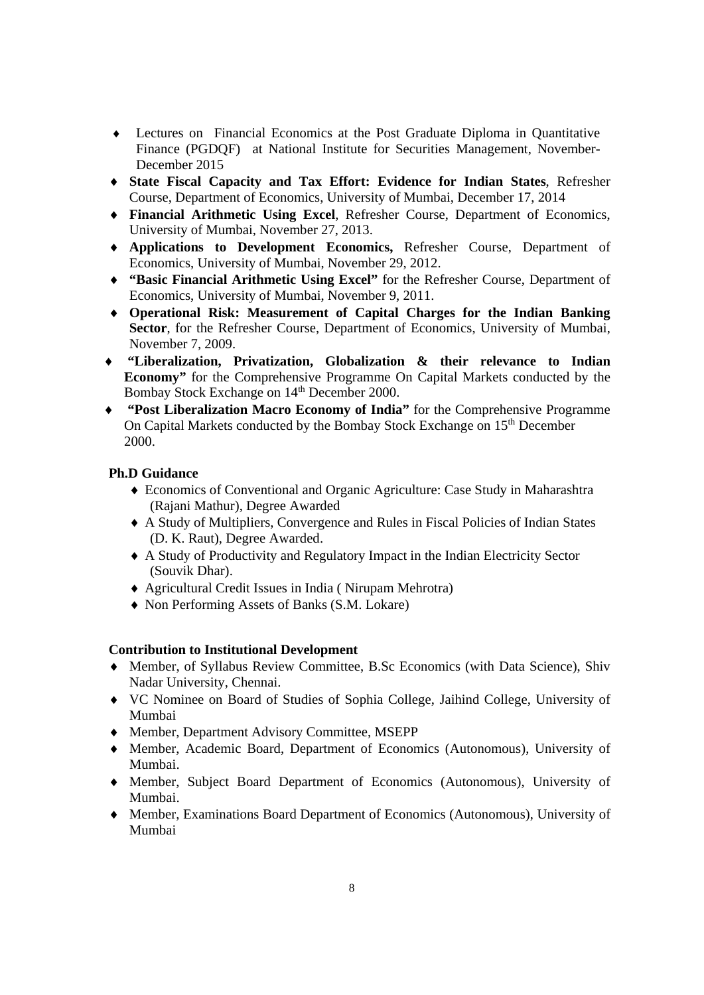- ♦ Lectures on Financial Economics at the Post Graduate Diploma in Quantitative Finance (PGDQF) at National Institute for Securities Management, November-December 2015
- ♦ **State Fiscal Capacity and Tax Effort: Evidence for Indian States**, Refresher Course, Department of Economics, University of Mumbai, December 17, 2014
- ♦ **Financial Arithmetic Using Excel**, Refresher Course, Department of Economics, University of Mumbai, November 27, 2013.
- ♦ **Applications to Development Economics,** Refresher Course, Department of Economics, University of Mumbai, November 29, 2012.
- ♦ **"Basic Financial Arithmetic Using Excel"** for the Refresher Course, Department of Economics, University of Mumbai, November 9, 2011.
- ♦ **Operational Risk: Measurement of Capital Charges for the Indian Banking Sector**, for the Refresher Course, Department of Economics, University of Mumbai, November 7, 2009.
- ♦ **"Liberalization, Privatization, Globalization & their relevance to Indian Economy"** for the Comprehensive Programme On Capital Markets conducted by the Bombay Stock Exchange on 14<sup>th</sup> December 2000.
- ♦ **"Post Liberalization Macro Economy of India"** for the Comprehensive Programme On Capital Markets conducted by the Bombay Stock Exchange on 15<sup>th</sup> December 2000.

# **Ph.D Guidance**

- ♦ Economics of Conventional and Organic Agriculture: Case Study in Maharashtra (Rajani Mathur), Degree Awarded
- ♦ A Study of Multipliers, Convergence and Rules in Fiscal Policies of Indian States (D. K. Raut), Degree Awarded.
- ♦ A Study of Productivity and Regulatory Impact in the Indian Electricity Sector (Souvik Dhar).
- ♦ Agricultural Credit Issues in India ( Nirupam Mehrotra)
- ♦ Non Performing Assets of Banks (S.M. Lokare)

## **Contribution to Institutional Development**

- ♦ Member, of Syllabus Review Committee, B.Sc Economics (with Data Science), Shiv Nadar University, Chennai.
- ♦ VC Nominee on Board of Studies of Sophia College, Jaihind College, University of Mumbai
- ♦ Member, Department Advisory Committee, MSEPP
- ♦ Member, Academic Board, Department of Economics (Autonomous), University of Mumbai.
- ♦ Member, Subject Board Department of Economics (Autonomous), University of Mumbai.
- ♦ Member, Examinations Board Department of Economics (Autonomous), University of Mumbai